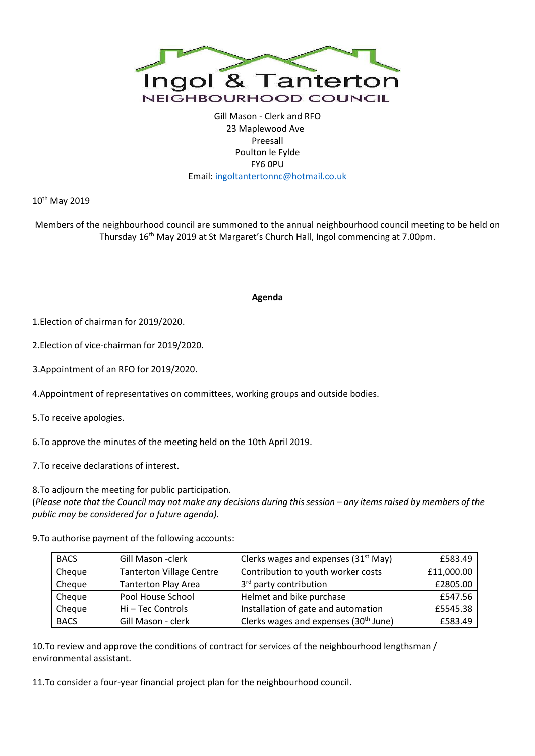

Gill Mason - Clerk and RFO 23 Maplewood Ave Preesall Poulton le Fylde FY6 0PU Email[: ingoltantertonnc@hotmail.co.uk](mailto:ingoltantertonnc@hotmail.co.uk)

10<sup>th</sup> May 2019

Members of the neighbourhood council are summoned to the annual neighbourhood council meeting to be held on Thursday 16th May 2019 at St Margaret's Church Hall, Ingol commencing at 7.00pm.

## **Agenda**

1.Election of chairman for 2019/2020.

2.Election of vice-chairman for 2019/2020.

3.Appointment of an RFO for 2019/2020.

4.Appointment of representatives on committees, working groups and outside bodies.

5.To receive apologies.

6.To approve the minutes of the meeting held on the 10th April 2019.

7.To receive declarations of interest.

8.To adjourn the meeting for public participation.

(Please note that the Council may not make any decisions during this session – any items raised by members of the *public may be considered for a future agenda).*

9.To authorise payment of the following accounts:

| <b>BACS</b> | Gill Mason - clerk              | Clerks wages and expenses (31 <sup>st</sup> May)  | £583.49    |
|-------------|---------------------------------|---------------------------------------------------|------------|
| Cheque      | <b>Tanterton Village Centre</b> | Contribution to youth worker costs                | £11,000.00 |
| Cheque      | <b>Tanterton Play Area</b>      | 3rd party contribution                            | £2805.00   |
| Cheque      | Pool House School               | Helmet and bike purchase                          | £547.56    |
| Cheque      | Hi-Tec Controls                 | Installation of gate and automation               | £5545.38   |
| <b>BACS</b> | Gill Mason - clerk              | Clerks wages and expenses (30 <sup>th</sup> June) | £583.49    |

10.To review and approve the conditions of contract for services of the neighbourhood lengthsman / environmental assistant.

11.To consider a four-year financial project plan for the neighbourhood council.